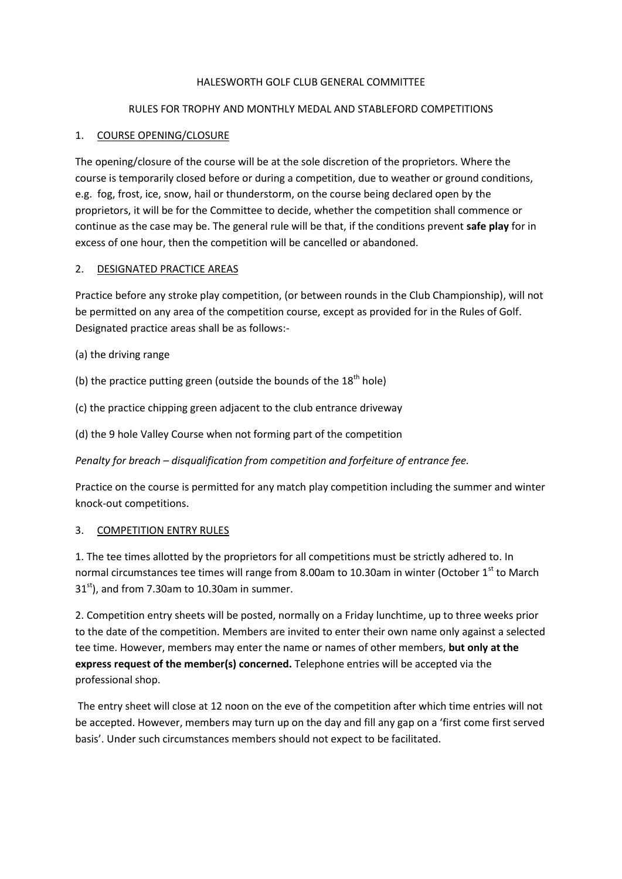#### HALESWORTH GOLF CLUB GENERAL COMMITTEE

#### RULES FOR TROPHY AND MONTHLY MEDAL AND STABLEFORD COMPETITIONS

#### 1. COURSE OPENING/CLOSURE

The opening/closure of the course will be at the sole discretion of the proprietors. Where the course is temporarily closed before or during a competition, due to weather or ground conditions, e.g. fog, frost, ice, snow, hail or thunderstorm, on the course being declared open by the proprietors, it will be for the Committee to decide, whether the competition shall commence or continue as the case may be. The general rule will be that, if the conditions prevent **safe play** for in excess of one hour, then the competition will be cancelled or abandoned.

#### 2. DESIGNATED PRACTICE AREAS

Practice before any stroke play competition, (or between rounds in the Club Championship), will not be permitted on any area of the competition course, except as provided for in the Rules of Golf. Designated practice areas shall be as follows:-

- (a) the driving range
- (b) the practice putting green (outside the bounds of the  $18<sup>th</sup>$  hole)
- (c) the practice chipping green adjacent to the club entrance driveway
- (d) the 9 hole Valley Course when not forming part of the competition

*Penalty for breach – disqualification from competition and forfeiture of entrance fee.*

Practice on the course is permitted for any match play competition including the summer and winter knock-out competitions.

## 3. COMPETITION ENTRY RULES

1. The tee times allotted by the proprietors for all competitions must be strictly adhered to. In normal circumstances tee times will range from 8.00am to 10.30am in winter (October 1<sup>st</sup> to March  $31<sup>st</sup>$ ), and from 7.30am to 10.30am in summer.

2. Competition entry sheets will be posted, normally on a Friday lunchtime, up to three weeks prior to the date of the competition. Members are invited to enter their own name only against a selected tee time. However, members may enter the name or names of other members, **but only at the express request of the member(s) concerned.** Telephone entries will be accepted via the professional shop.

The entry sheet will close at 12 noon on the eve of the competition after which time entries will not be accepted. However, members may turn up on the day and fill any gap on a 'first come first served basis'. Under such circumstances members should not expect to be facilitated.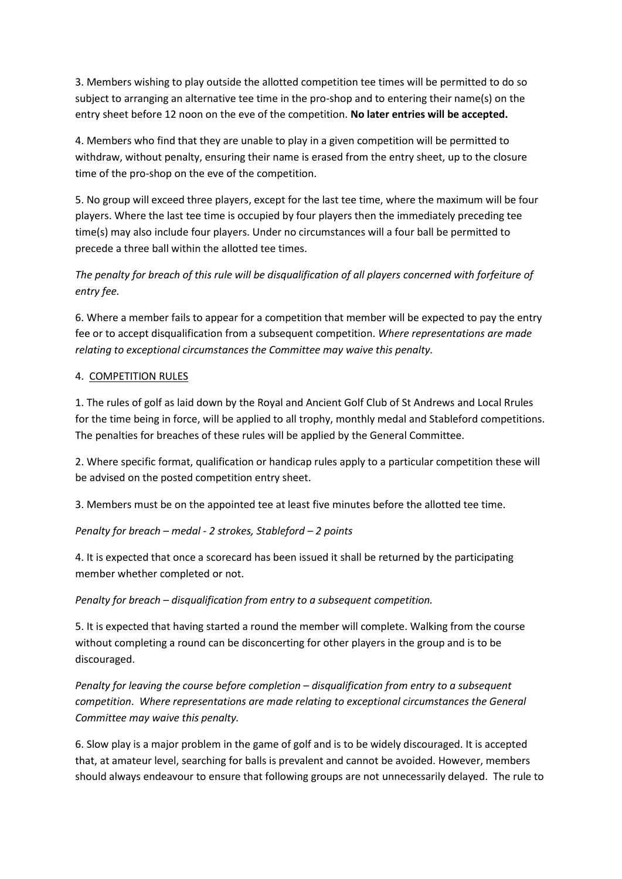3. Members wishing to play outside the allotted competition tee times will be permitted to do so subject to arranging an alternative tee time in the pro-shop and to entering their name(s) on the entry sheet before 12 noon on the eve of the competition. **No later entries will be accepted.**

4. Members who find that they are unable to play in a given competition will be permitted to withdraw, without penalty, ensuring their name is erased from the entry sheet, up to the closure time of the pro-shop on the eve of the competition.

5. No group will exceed three players, except for the last tee time, where the maximum will be four players. Where the last tee time is occupied by four players then the immediately preceding tee time(s) may also include four players. Under no circumstances will a four ball be permitted to precede a three ball within the allotted tee times.

*The penalty for breach of this rule will be disqualification of all players concerned with forfeiture of entry fee.*

6. Where a member fails to appear for a competition that member will be expected to pay the entry fee or to accept disqualification from a subsequent competition. *Where representations are made relating to exceptional circumstances the Committee may waive this penalty.*

## 4. COMPETITION RULES

1. The rules of golf as laid down by the Royal and Ancient Golf Club of St Andrews and Local Rrules for the time being in force, will be applied to all trophy, monthly medal and Stableford competitions. The penalties for breaches of these rules will be applied by the General Committee.

2. Where specific format, qualification or handicap rules apply to a particular competition these will be advised on the posted competition entry sheet.

3. Members must be on the appointed tee at least five minutes before the allotted tee time.

## *Penalty for breach – medal - 2 strokes, Stableford – 2 points*

4. It is expected that once a scorecard has been issued it shall be returned by the participating member whether completed or not.

*Penalty for breach – disqualification from entry to a subsequent competition.*

5. It is expected that having started a round the member will complete. Walking from the course without completing a round can be disconcerting for other players in the group and is to be discouraged.

*Penalty for leaving the course before completion – disqualification from entry to a subsequent competition*. *Where representations are made relating to exceptional circumstances the General Committee may waive this penalty.*

6. Slow play is a major problem in the game of golf and is to be widely discouraged. It is accepted that, at amateur level, searching for balls is prevalent and cannot be avoided. However, members should always endeavour to ensure that following groups are not unnecessarily delayed. The rule to